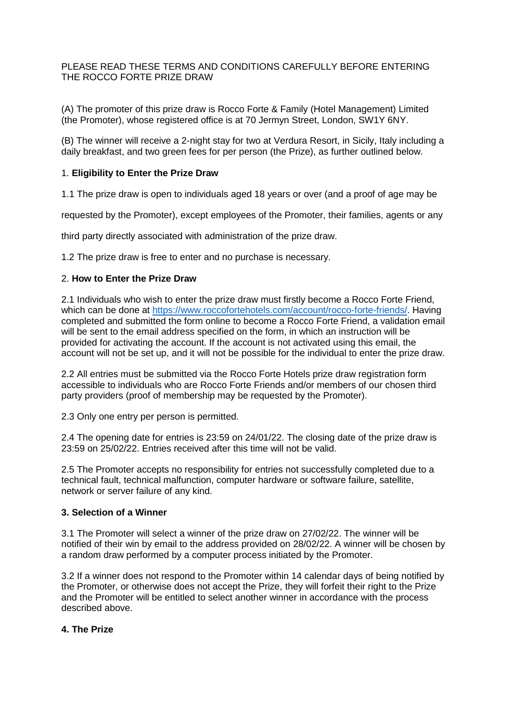## PLEASE READ THESE TERMS AND CONDITIONS CAREFULLY BEFORE ENTERING THE ROCCO FORTE PRIZE DRAW

(A) The promoter of this prize draw is Rocco Forte & Family (Hotel Management) Limited (the Promoter), whose registered office is at 70 Jermyn Street, London, SW1Y 6NY.

(B) The winner will receive a 2-night stay for two at Verdura Resort, in Sicily, Italy including a daily breakfast, and two green fees for per person (the Prize), as further outlined below.

## 1. **Eligibility to Enter the Prize Draw**

1.1 The prize draw is open to individuals aged 18 years or over (and a proof of age may be

requested by the Promoter), except employees of the Promoter, their families, agents or any

third party directly associated with administration of the prize draw.

1.2 The prize draw is free to enter and no purchase is necessary.

## 2. **How to Enter the Prize Draw**

2.1 Individuals who wish to enter the prize draw must firstly become a Rocco Forte Friend, which can be done at [https://www.roccofortehotels.com/account/rocco-forte-friends/.](https://www.roccofortehotels.com/account/rocco-forte-friends/) Having completed and submitted the form online to become a Rocco Forte Friend, a validation email will be sent to the email address specified on the form, in which an instruction will be provided for activating the account. If the account is not activated using this email, the account will not be set up, and it will not be possible for the individual to enter the prize draw.

2.2 All entries must be submitted via the Rocco Forte Hotels prize draw registration form accessible to individuals who are Rocco Forte Friends and/or members of our chosen third party providers (proof of membership may be requested by the Promoter).

2.3 Only one entry per person is permitted.

2.4 The opening date for entries is 23:59 on 24/01/22. The closing date of the prize draw is 23:59 on 25/02/22. Entries received after this time will not be valid.

2.5 The Promoter accepts no responsibility for entries not successfully completed due to a technical fault, technical malfunction, computer hardware or software failure, satellite, network or server failure of any kind.

#### **3. Selection of a Winner**

3.1 The Promoter will select a winner of the prize draw on 27/02/22. The winner will be notified of their win by email to the address provided on 28/02/22. A winner will be chosen by a random draw performed by a computer process initiated by the Promoter.

3.2 If a winner does not respond to the Promoter within 14 calendar days of being notified by the Promoter, or otherwise does not accept the Prize, they will forfeit their right to the Prize and the Promoter will be entitled to select another winner in accordance with the process described above.

### **4. The Prize**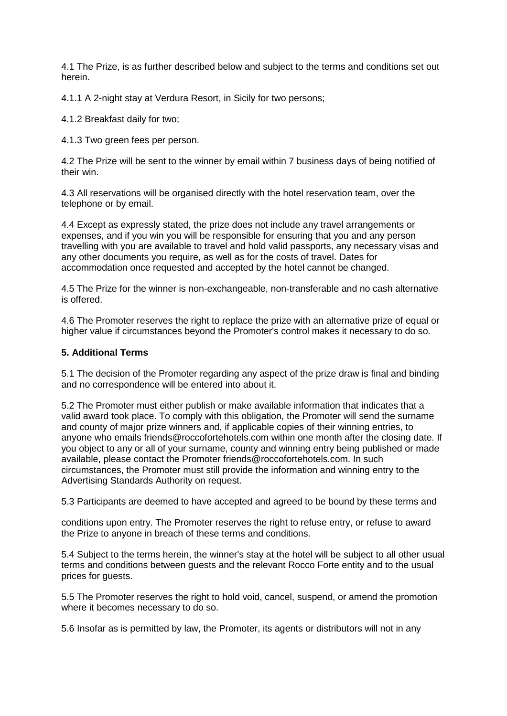4.1 The Prize, is as further described below and subject to the terms and conditions set out herein.

4.1.1 A 2-night stay at Verdura Resort, in Sicily for two persons;

4.1.2 Breakfast daily for two;

4.1.3 Two green fees per person.

4.2 The Prize will be sent to the winner by email within 7 business days of being notified of their win.

4.3 All reservations will be organised directly with the hotel reservation team, over the telephone or by email.

4.4 Except as expressly stated, the prize does not include any travel arrangements or expenses, and if you win you will be responsible for ensuring that you and any person travelling with you are available to travel and hold valid passports, any necessary visas and any other documents you require, as well as for the costs of travel. Dates for accommodation once requested and accepted by the hotel cannot be changed.

4.5 The Prize for the winner is non-exchangeable, non-transferable and no cash alternative is offered.

4.6 The Promoter reserves the right to replace the prize with an alternative prize of equal or higher value if circumstances beyond the Promoter's control makes it necessary to do so.

# **5. Additional Terms**

5.1 The decision of the Promoter regarding any aspect of the prize draw is final and binding and no correspondence will be entered into about it.

5.2 The Promoter must either publish or make available information that indicates that a valid award took place. To comply with this obligation, the Promoter will send the surname and county of major prize winners and, if applicable copies of their winning entries, to anyone who emails friends@roccofortehotels.com within one month after the closing date. If you object to any or all of your surname, county and winning entry being published or made available, please contact the Promoter friends@roccofortehotels.com. In such circumstances, the Promoter must still provide the information and winning entry to the Advertising Standards Authority on request.

5.3 Participants are deemed to have accepted and agreed to be bound by these terms and

conditions upon entry. The Promoter reserves the right to refuse entry, or refuse to award the Prize to anyone in breach of these terms and conditions.

5.4 Subject to the terms herein, the winner's stay at the hotel will be subject to all other usual terms and conditions between guests and the relevant Rocco Forte entity and to the usual prices for guests.

5.5 The Promoter reserves the right to hold void, cancel, suspend, or amend the promotion where it becomes necessary to do so.

5.6 Insofar as is permitted by law, the Promoter, its agents or distributors will not in any